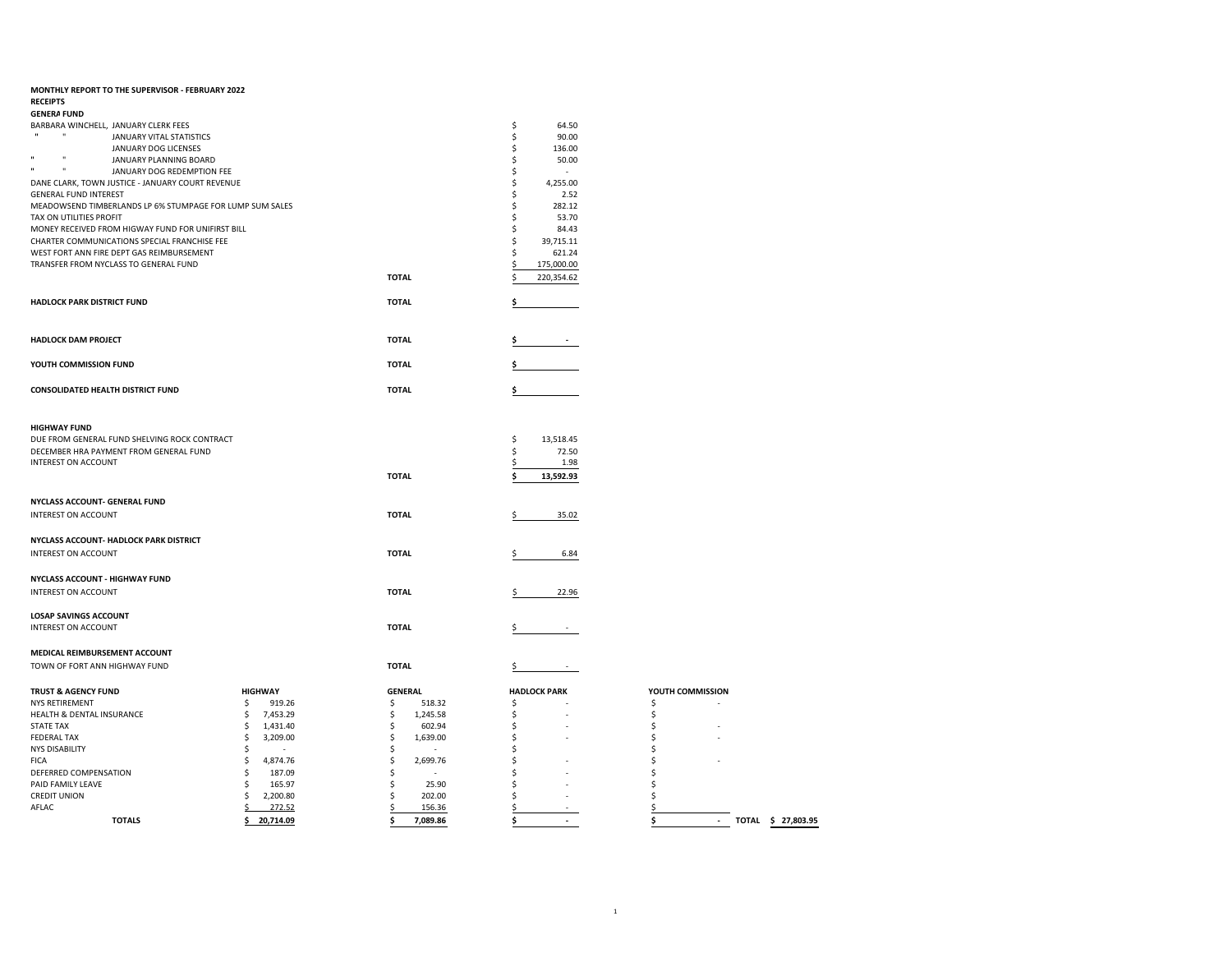| MONTHLY REPORT TO THE SUPERVISOR - FEBRUARY 2022         |                   |                |                                |                                                      |
|----------------------------------------------------------|-------------------|----------------|--------------------------------|------------------------------------------------------|
| <b>RECEIPTS</b>                                          |                   |                |                                |                                                      |
| <b>GENERA FUND</b>                                       |                   |                |                                |                                                      |
| BARBARA WINCHELL, JANUARY CLERK FEES                     |                   |                | \$<br>64.50                    |                                                      |
| $\mathbf{u}$<br>JANUARY VITAL STATISTICS                 |                   |                | \$<br>90.00                    |                                                      |
| JANUARY DOG LICENSES                                     |                   |                | \$<br>136.00                   |                                                      |
| $\bar{\mathbf{u}}$<br>JANUARY PLANNING BOARD             |                   |                | \$<br>50.00                    |                                                      |
| $\mathbf{u}$<br>JANUARY DOG REDEMPTION FEE               |                   |                | \$                             |                                                      |
| DANE CLARK, TOWN JUSTICE - JANUARY COURT REVENUE         |                   |                | \$<br>4,255.00                 |                                                      |
| <b>GENERAL FUND INTEREST</b>                             |                   |                | \$<br>2.52                     |                                                      |
| MEADOWSEND TIMBERLANDS LP 6% STUMPAGE FOR LUMP SUM SALES |                   |                | \$<br>282.12                   |                                                      |
| TAX ON UTILITIES PROFIT                                  |                   |                | \$<br>53.70                    |                                                      |
| MONEY RECEIVED FROM HIGWAY FUND FOR UNIFIRST BILL        |                   |                | \$<br>84.43                    |                                                      |
| CHARTER COMMUNICATIONS SPECIAL FRANCHISE FEE             |                   |                | \$<br>39,715.11                |                                                      |
| WEST FORT ANN FIRE DEPT GAS REIMBURSEMENT                |                   |                | \$<br>621.24                   |                                                      |
| TRANSFER FROM NYCLASS TO GENERAL FUND                    |                   |                | \$<br>175,000.00               |                                                      |
|                                                          |                   | <b>TOTAL</b>   | 220,354.62                     |                                                      |
|                                                          |                   |                |                                |                                                      |
|                                                          |                   | <b>TOTAL</b>   |                                |                                                      |
| <b>HADLOCK PARK DISTRICT FUND</b>                        |                   |                | \$                             |                                                      |
|                                                          |                   |                |                                |                                                      |
|                                                          |                   |                |                                |                                                      |
| <b>HADLOCK DAM PROJECT</b>                               |                   | <b>TOTAL</b>   |                                |                                                      |
|                                                          |                   |                |                                |                                                      |
| YOUTH COMMISSION FUND                                    |                   | <b>TOTAL</b>   |                                |                                                      |
|                                                          |                   |                |                                |                                                      |
| <b>CONSOLIDATED HEALTH DISTRICT FUND</b>                 |                   | <b>TOTAL</b>   |                                |                                                      |
|                                                          |                   |                |                                |                                                      |
|                                                          |                   |                |                                |                                                      |
| <b>HIGHWAY FUND</b>                                      |                   |                |                                |                                                      |
| DUE FROM GENERAL FUND SHELVING ROCK CONTRACT             |                   |                | \$<br>13,518.45                |                                                      |
| DECEMBER HRA PAYMENT FROM GENERAL FUND                   |                   |                | \$<br>72.50                    |                                                      |
| <b>INTEREST ON ACCOUNT</b>                               |                   |                | \$<br>1.98                     |                                                      |
|                                                          |                   |                |                                |                                                      |
|                                                          |                   | <b>TOTAL</b>   | \$<br>13,592.93                |                                                      |
|                                                          |                   |                |                                |                                                      |
| NYCLASS ACCOUNT- GENERAL FUND                            |                   |                |                                |                                                      |
| INTEREST ON ACCOUNT                                      |                   | <b>TOTAL</b>   | 35.02<br>\$                    |                                                      |
|                                                          |                   |                |                                |                                                      |
| NYCLASS ACCOUNT- HADLOCK PARK DISTRICT                   |                   |                |                                |                                                      |
| <b>INTEREST ON ACCOUNT</b>                               |                   | <b>TOTAL</b>   | 6.84<br>Ś                      |                                                      |
|                                                          |                   |                |                                |                                                      |
| NYCLASS ACCOUNT - HIGHWAY FUND                           |                   |                |                                |                                                      |
|                                                          |                   |                |                                |                                                      |
| <b>INTEREST ON ACCOUNT</b>                               |                   | <b>TOTAL</b>   | 22.96                          |                                                      |
|                                                          |                   |                |                                |                                                      |
| <b>LOSAP SAVINGS ACCOUNT</b>                             |                   |                |                                |                                                      |
| <b>INTEREST ON ACCOUNT</b>                               |                   | <b>TOTAL</b>   | Ŝ                              |                                                      |
|                                                          |                   |                |                                |                                                      |
| MEDICAL REIMBURSEMENT ACCOUNT                            |                   |                |                                |                                                      |
| TOWN OF FORT ANN HIGHWAY FUND                            |                   | <b>TOTAL</b>   | \$                             |                                                      |
|                                                          |                   |                |                                |                                                      |
| <b>TRUST &amp; AGENCY FUND</b>                           | <b>HIGHWAY</b>    | <b>GENERAL</b> | <b>HADLOCK PARK</b>            | YOUTH COMMISSION                                     |
| NYS RETIREMENT                                           | \$<br>919.26      | \$<br>518.32   | \$                             | \$                                                   |
| HEALTH & DENTAL INSURANCE                                | \$<br>7,453.29    | \$<br>1,245.58 | \$                             | \$                                                   |
| <b>STATE TAX</b>                                         | \$<br>1,431.40    | \$<br>602.94   | \$                             | \$                                                   |
| <b>FEDERAL TAX</b>                                       | \$<br>3,209.00    | \$<br>1,639.00 | \$                             | \$                                                   |
| <b>NYS DISABILITY</b>                                    | Ś                 | \$             | \$                             | \$                                                   |
| <b>FICA</b>                                              |                   | \$<br>2,699.76 | \$                             | Ś                                                    |
|                                                          | \$<br>4,874.76    |                |                                |                                                      |
| DEFERRED COMPENSATION                                    | \$<br>187.09      | Ś              | \$                             | Ś                                                    |
| PAID FAMILY LEAVE                                        | \$<br>165.97      | \$<br>25.90    | \$                             | \$                                                   |
| <b>CREDIT UNION</b>                                      | \$<br>2,200.80    | Ś<br>202.00    | \$                             | \$                                                   |
| AFLAC                                                    | 272.52            | Ś<br>156.36    | \$                             | \$                                                   |
| <b>TOTALS</b>                                            | \$<br>\$20,714.09 | \$<br>7,089.86 | \$<br>$\overline{\phantom{a}}$ | \$<br>TOTAL \$ 27,803.95<br>$\overline{\phantom{a}}$ |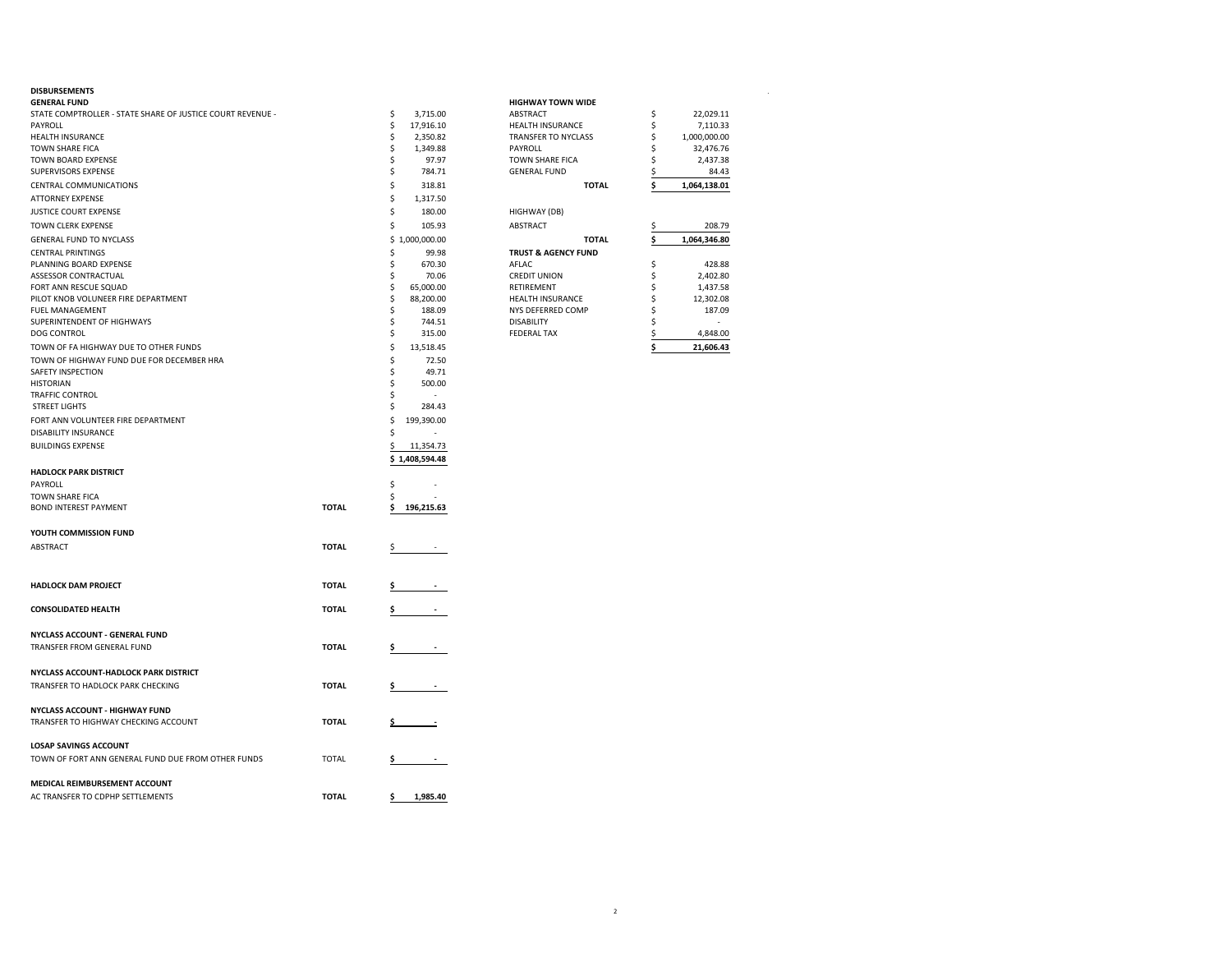| GENERAL FUND                                               |              |    |                | <b>HIGHWAY TOWN WIDE</b>       |    |              |
|------------------------------------------------------------|--------------|----|----------------|--------------------------------|----|--------------|
| STATE COMPTROLLER - STATE SHARE OF JUSTICE COURT REVENUE - |              | \$ | 3,715.00       | ABSTRACT                       | \$ | 22,029.11    |
| PAYROLL                                                    |              | \$ | 17,916.10      | HEALTH INSURANCE               | \$ | 7,110.33     |
| HEALTH INSURANCE                                           |              | \$ | 2,350.82       | TRANSFER TO NYCLASS            | \$ | 1,000,000.00 |
| TOWN SHARE FICA                                            |              | \$ | 1,349.88       | PAYROLL                        | Ŝ  | 32,476.76    |
| TOWN BOARD EXPENSE                                         |              | \$ | 97.97          | <b>TOWN SHARE FICA</b>         | \$ | 2,437.38     |
| SUPERVISORS EXPENSE                                        |              | Ŝ. | 784.71         | <b>GENERAL FUND</b>            | Ś  | 84.43        |
| CENTRAL COMMUNICATIONS                                     |              | \$ | 318.81         | <b>TOTAL</b>                   | \$ | 1,064,138.01 |
| ATTORNEY EXPENSE                                           |              | \$ | 1,317.50       |                                |    |              |
| JUSTICE COURT EXPENSE                                      |              | Ś  | 180.00         | HIGHWAY (DB)                   |    |              |
| TOWN CLERK EXPENSE                                         |              | \$ | 105.93         | ABSTRACT                       | \$ | 208.79       |
| <b>GENERAL FUND TO NYCLASS</b>                             |              |    | \$1,000,000.00 | <b>TOTAL</b>                   | \$ | 1,064,346.80 |
| <b>CENTRAL PRINTINGS</b>                                   |              | Ŝ. | 99.98          | <b>TRUST &amp; AGENCY FUND</b> |    |              |
| PLANNING BOARD EXPENSE                                     |              | \$ | 670.30         | AFLAC                          | \$ | 428.88       |
| ASSESSOR CONTRACTUAL                                       |              | \$ | 70.06          | <b>CREDIT UNION</b>            | \$ | 2,402.80     |
| FORT ANN RESCUE SQUAD                                      |              | S  | 65,000.00      | RETIREMENT                     | \$ | 1,437.58     |
| PILOT KNOB VOLUNEER FIRE DEPARTMENT                        |              | \$ | 88,200.00      | HEALTH INSURANCE               | \$ | 12,302.08    |
| FUEL MANAGEMENT                                            |              | \$ | 188.09         | NYS DEFERRED COMP              | Ś  | 187.09       |
| SUPERINTENDENT OF HIGHWAYS                                 |              | \$ | 744.51         | <b>DISABILITY</b>              | Ś  |              |
| DOG CONTROL                                                |              | \$ | 315.00         | <b>FEDERAL TAX</b>             |    | 4,848.00     |
| TOWN OF FA HIGHWAY DUE TO OTHER FUNDS                      |              | \$ | 13,518.45      |                                | \$ | 21,606.43    |
| TOWN OF HIGHWAY FUND DUE FOR DECEMBER HRA                  |              | \$ | 72.50          |                                |    |              |
| SAFETY INSPECTION                                          |              | \$ | 49.71          |                                |    |              |
| <b>HISTORIAN</b>                                           |              | Ś  | 500.00         |                                |    |              |
| TRAFFIC CONTROL                                            |              | S  | ٠              |                                |    |              |
| <b>STREET LIGHTS</b>                                       |              | \$ | 284.43         |                                |    |              |
| FORT ANN VOLUNTEER FIRE DEPARTMENT                         |              | Ś  | 199,390.00     |                                |    |              |
|                                                            |              |    |                |                                |    |              |
| DISABILITY INSURANCE                                       |              |    |                |                                |    |              |
| <b>BUILDINGS EXPENSE</b>                                   |              |    | 11,354.73      |                                |    |              |
|                                                            |              |    | \$1,408,594.48 |                                |    |              |
| <b>HADLOCK PARK DISTRICT</b>                               |              |    |                |                                |    |              |
| PAYROLL                                                    |              | Ś  |                |                                |    |              |
| TOWN SHARE FICA                                            |              |    |                |                                |    |              |
| <b>BOND INTEREST PAYMENT</b>                               | <b>TOTAL</b> |    | 196,215.63     |                                |    |              |
| YOUTH COMMISSION FUND                                      |              |    |                |                                |    |              |
|                                                            |              |    |                |                                |    |              |
| <b>ABSTRACT</b>                                            | <b>TOTAL</b> |    |                |                                |    |              |
|                                                            |              |    |                |                                |    |              |
| <b>HADLOCK DAM PROJECT</b>                                 | <b>TOTAL</b> |    |                |                                |    |              |
|                                                            |              |    |                |                                |    |              |
| <b>CONSOLIDATED HEALTH</b>                                 | <b>TOTAL</b> |    |                |                                |    |              |
| NYCLASS ACCOUNT - GENERAL FUND                             |              |    |                |                                |    |              |
|                                                            |              |    |                |                                |    |              |
| TRANSFER FROM GENERAL FUND                                 | <b>TOTAL</b> | Ş  |                |                                |    |              |
|                                                            |              |    |                |                                |    |              |
| NYCLASS ACCOUNT-HADLOCK PARK DISTRICT                      |              |    |                |                                |    |              |
| TRANSFER TO HADLOCK PARK CHECKING                          | <b>TOTAL</b> |    |                |                                |    |              |
|                                                            |              |    |                |                                |    |              |
| NYCLASS ACCOUNT - HIGHWAY FUND                             |              |    |                |                                |    |              |
| TRANSFER TO HIGHWAY CHECKING ACCOUNT                       | <b>TOTAL</b> |    |                |                                |    |              |
|                                                            |              |    |                |                                |    |              |
| <b>LOSAP SAVINGS ACCOUNT</b>                               |              |    |                |                                |    |              |
| TOWN OF FORT ANN GENERAL FUND DUE FROM OTHER FUNDS         | <b>TOTAL</b> | \$ |                |                                |    |              |
|                                                            |              |    |                |                                |    |              |
| MEDICAL REIMBURSEMENT ACCOUNT                              |              |    |                |                                |    |              |
| AC TRANSFER TO CDPHP SETTLEMENTS                           | <b>TOTAL</b> | \$ | 1,985.40       |                                |    |              |

| <b>DISBURSEMENTS</b>                                       |                  |                                |                  |
|------------------------------------------------------------|------------------|--------------------------------|------------------|
| <b>GENERAL FUND</b>                                        |                  | <b>HIGHWAY TOWN WIDE</b>       |                  |
| STATE COMPTROLLER - STATE SHARE OF JUSTICE COURT REVENUE - | 3,715.00         | ABSTRACT                       | 22,029.11        |
| PAYROLL                                                    | 17.916.10        | <b>HEALTH INSURANCE</b>        | 7,110.33         |
| <b>HEALTH INSURANCE</b>                                    | 2,350.82         | <b>TRANSFER TO NYCLASS</b>     | 1,000,000.00     |
| TOWN SHARE FICA                                            | 1.349.88         | PAYROLL                        | 32,476.76        |
| TOWN BOARD EXPENSE                                         | 97.97            | <b>TOWN SHARE FICA</b>         | 2,437.38         |
| <b>SUPERVISORS EXPENSE</b>                                 | 784.71           | <b>GENERAL FUND</b>            | 84.43            |
| CENTRAL COMMUNICATIONS                                     | 318.81           | <b>TOTAL</b>                   | 1,064,138.01     |
| ATTORNEY EXPENSE                                           | 1,317.50         |                                |                  |
| JUSTICE COURT EXPENSE                                      | 180.00           | HIGHWAY (DB)                   |                  |
| TOWN CLERK EXPENSE                                         | 105.93           | <b>ABSTRACT</b>                | 208.79           |
| <b>GENERAL FUND TO NYCLASS</b>                             | \$1,000,000.00   | <b>TOTAL</b>                   | 1,064,346.80     |
| <b>CENTRAL PRINTINGS</b>                                   | 99.98            | <b>TRUST &amp; AGENCY FUND</b> |                  |
| PLANNING BOARD EXPENSE                                     | 670.30           | AFLAC                          | 428.88           |
| ASSESSOR CONTRACTUAL                                       | 70.06            | <b>CREDIT UNION</b>            | 2,402.80         |
| FORT ANN RESCUE SQUAD                                      | 65,000.00        | <b>RETIREMENT</b>              | 1,437.58         |
| PILOT KNOB VOLUNEER FIRE DEPARTMENT                        | 88,200.00        | <b>HEALTH INSURANCE</b>        | 12,302.08        |
| <b>FUEL MANAGEMENT</b>                                     | 188.09           | NYS DEFERRED COMP              | 187.09           |
| SUPERINTENDENT OF HIGHWAYS                                 | 744.51           | <b>DISABILITY</b>              |                  |
| <b>DOG CONTROL</b>                                         | 315.00           | <b>FEDERAL TAX</b>             | 4,848.00         |
| TOMALOE EA HIGHMAY DUE TO OTHER EUNIDE                     | <b>10 E10 AE</b> |                                | <b>31 COC 43</b> |